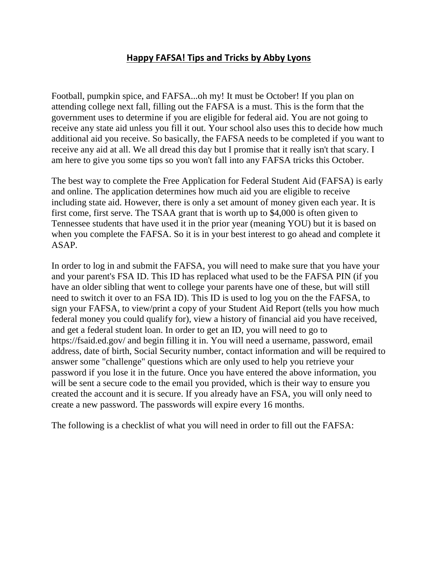## **Happy FAFSA! Tips and Tricks by Abby Lyons**

Football, pumpkin spice, and FAFSA...oh my! It must be October! If you plan on attending college next fall, filling out the FAFSA is a must. This is the form that the government uses to determine if you are eligible for federal aid. You are not going to receive any state aid unless you fill it out. Your school also uses this to decide how much additional aid you receive. So basically, the FAFSA needs to be completed if you want to receive any aid at all. We all dread this day but I promise that it really isn't that scary. I am here to give you some tips so you won't fall into any FAFSA tricks this October.

The best way to complete the Free Application for Federal Student Aid (FAFSA) is early and online. The application determines how much aid you are eligible to receive including state aid. However, there is only a set amount of money given each year. It is first come, first serve. The TSAA grant that is worth up to \$4,000 is often given to Tennessee students that have used it in the prior year (meaning YOU) but it is based on when you complete the FAFSA. So it is in your best interest to go ahead and complete it ASAP.

In order to log in and submit the FAFSA, you will need to make sure that you have your and your parent's FSA ID. This ID has replaced what used to be the FAFSA PIN (if you have an older sibling that went to college your parents have one of these, but will still need to switch it over to an FSA ID). This ID is used to log you on the the FAFSA, to sign your FAFSA, to view/print a copy of your Student Aid Report (tells you how much federal money you could qualify for), view a history of financial aid you have received, and get a federal student loan. In order to get an ID, you will need to go to https://fsaid.ed.gov/ and begin filling it in. You will need a username, password, email address, date of birth, Social Security number, contact information and will be required to answer some "challenge" questions which are only used to help you retrieve your password if you lose it in the future. Once you have entered the above information, you will be sent a secure code to the email you provided, which is their way to ensure you created the account and it is secure. If you already have an FSA, you will only need to create a new password. The passwords will expire every 16 months.

The following is a checklist of what you will need in order to fill out the FAFSA: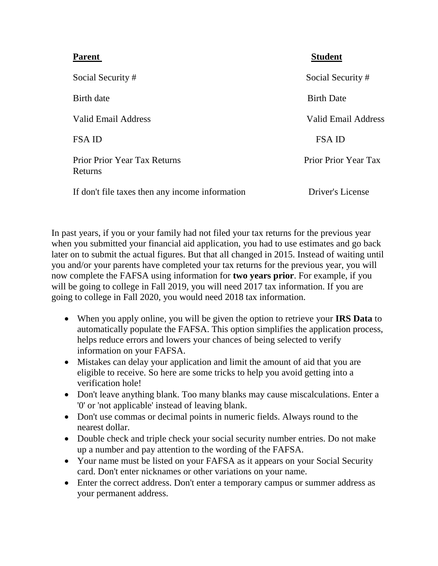| <b>Parent</b>                                   | <b>Student</b>       |
|-------------------------------------------------|----------------------|
| Social Security#                                | Social Security#     |
| Birth date                                      | <b>Birth Date</b>    |
| Valid Email Address                             | Valid Email Address  |
| <b>FSAID</b>                                    | <b>FSA ID</b>        |
| <b>Prior Prior Year Tax Returns</b><br>Returns  | Prior Prior Year Tax |
| If don't file taxes then any income information | Driver's License     |

In past years, if you or your family had not filed your tax returns for the previous year when you submitted your financial aid application, you had to use estimates and go back later on to submit the actual figures. But that all changed in 2015. Instead of waiting until you and/or your parents have completed your tax returns for the previous year, you will now complete the FAFSA using information for **two years prior**. For example, if you will be going to college in Fall 2019, you will need 2017 tax information. If you are going to college in Fall 2020, you would need 2018 tax information.

- When you apply online, you will be given the option to retrieve your **IRS Data** to automatically populate the FAFSA. This option simplifies the application process, helps reduce errors and lowers your chances of being selected to verify information on your FAFSA.
- Mistakes can delay your application and limit the amount of aid that you are eligible to receive. So here are some tricks to help you avoid getting into a verification hole!
- Don't leave anything blank. Too many blanks may cause miscalculations. Enter a '0' or 'not applicable' instead of leaving blank.
- Don't use commas or decimal points in numeric fields. Always round to the nearest dollar.
- Double check and triple check your social security number entries. Do not make up a number and pay attention to the wording of the FAFSA.
- Your name must be listed on your FAFSA as it appears on your Social Security card. Don't enter nicknames or other variations on your name.
- Enter the correct address. Don't enter a temporary campus or summer address as your permanent address.